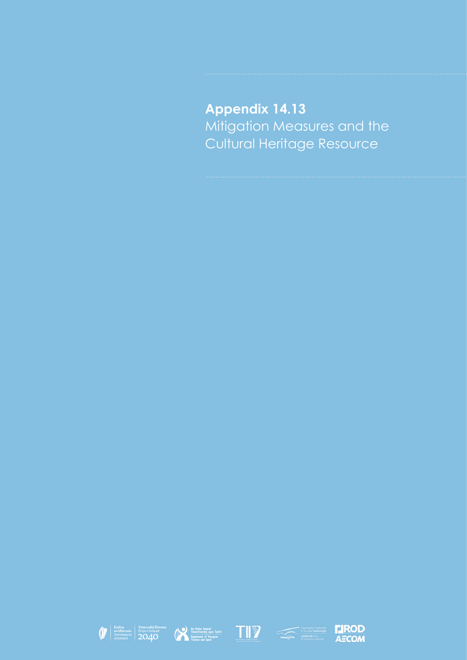**Appendix 14.13** Mitigation Measures and the Cultural Heritage Resource









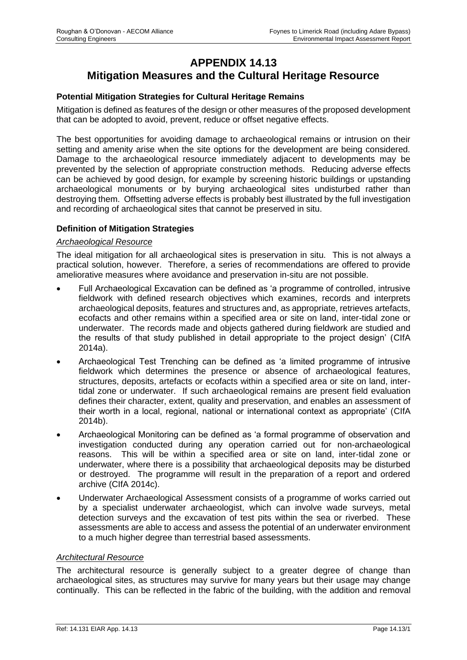# **APPENDIX 14.13 Mitigation Measures and the Cultural Heritage Resource**

## **Potential Mitigation Strategies for Cultural Heritage Remains**

Mitigation is defined as features of the design or other measures of the proposed development that can be adopted to avoid, prevent, reduce or offset negative effects.

The best opportunities for avoiding damage to archaeological remains or intrusion on their setting and amenity arise when the site options for the development are being considered. Damage to the archaeological resource immediately adjacent to developments may be prevented by the selection of appropriate construction methods. Reducing adverse effects can be achieved by good design, for example by screening historic buildings or upstanding archaeological monuments or by burying archaeological sites undisturbed rather than destroying them. Offsetting adverse effects is probably best illustrated by the full investigation and recording of archaeological sites that cannot be preserved in situ.

### **Definition of Mitigation Strategies**

#### *Archaeological Resource*

The ideal mitigation for all archaeological sites is preservation in situ. This is not always a practical solution, however. Therefore, a series of recommendations are offered to provide ameliorative measures where avoidance and preservation in-situ are not possible.

- Full Archaeological Excavation can be defined as 'a programme of controlled, intrusive fieldwork with defined research objectives which examines, records and interprets archaeological deposits, features and structures and, as appropriate, retrieves artefacts, ecofacts and other remains within a specified area or site on land, inter-tidal zone or underwater. The records made and objects gathered during fieldwork are studied and the results of that study published in detail appropriate to the project design' (CIfA 2014a).
- Archaeological Test Trenching can be defined as 'a limited programme of intrusive fieldwork which determines the presence or absence of archaeological features, structures, deposits, artefacts or ecofacts within a specified area or site on land, intertidal zone or underwater. If such archaeological remains are present field evaluation defines their character, extent, quality and preservation, and enables an assessment of their worth in a local, regional, national or international context as appropriate' (CIfA 2014b).
- Archaeological Monitoring can be defined as 'a formal programme of observation and investigation conducted during any operation carried out for non-archaeological reasons. This will be within a specified area or site on land, inter-tidal zone or underwater, where there is a possibility that archaeological deposits may be disturbed or destroyed. The programme will result in the preparation of a report and ordered archive (CIfA 2014c).
- Underwater Archaeological Assessment consists of a programme of works carried out by a specialist underwater archaeologist, which can involve wade surveys, metal detection surveys and the excavation of test pits within the sea or riverbed. These assessments are able to access and assess the potential of an underwater environment to a much higher degree than terrestrial based assessments.

#### *Architectural Resource*

The architectural resource is generally subject to a greater degree of change than archaeological sites, as structures may survive for many years but their usage may change continually. This can be reflected in the fabric of the building, with the addition and removal